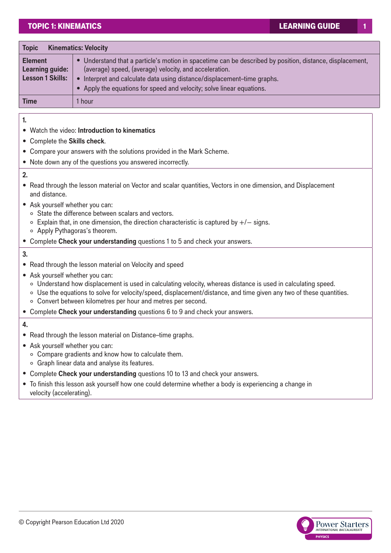# TOPIC 1: KINEMATICS LEARNING GUIDE

| <b>Kinematics: Velocity</b><br><b>Topic</b>                  |                                                                                                                                                                                                                                                                                                                                   |  |
|--------------------------------------------------------------|-----------------------------------------------------------------------------------------------------------------------------------------------------------------------------------------------------------------------------------------------------------------------------------------------------------------------------------|--|
| <b>Element</b><br>Learning guide:<br><b>Lesson 1 Skills:</b> | • Understand that a particle's motion in spacetime can be described by position, distance, displacement,<br>(average) speed, (average) velocity, and acceleration.<br>Interpret and calculate data using distance/displacement-time graphs.<br>$\bullet$<br>• Apply the equations for speed and velocity; solve linear equations. |  |
| <b>Time</b>                                                  | 1 hour                                                                                                                                                                                                                                                                                                                            |  |

**1.**

- Watch the video: **Introduction to kinematics**
- Complete the **Skills check**.
- Compare your answers with the solutions provided in the Mark Scheme.
- Note down any of the questions you answered incorrectly.

**2.**

- Read through the lesson material on Vector and scalar quantities, Vectors in one dimension, and Displacement and distance.
- Ask yourself whether you can:
	- ° State the difference between scalars and vectors.
	- ° Explain that, in one dimension, the direction characteristic is captured by +/− signs.
	- ° Apply Pythagoras's theorem.
- Complete **Check your understanding** questions 1 to 5 and check your answers.

### **3.**

- Read through the lesson material on Velocity and speed
- Ask yourself whether you can:
	- ° Understand how displacement is used in calculating velocity, whereas distance is used in calculating speed.
	- ° Use the equations to solve for velocity/speed, displacement/distance, and time given any two of these quantities.
	- ° Convert between kilometres per hour and metres per second.
- Complete **Check your understanding** questions 6 to 9 and check your answers.
- **4.**
- Read through the lesson material on Distance–time graphs.
- Ask yourself whether you can:
	- ° Compare gradients and know how to calculate them.
	- ° Graph linear data and analyse its features.
- Complete **Check your understanding** questions 10 to 13 and check your answers.
- To finish this lesson ask yourself how one could determine whether a body is experiencing a change in velocity (accelerating).

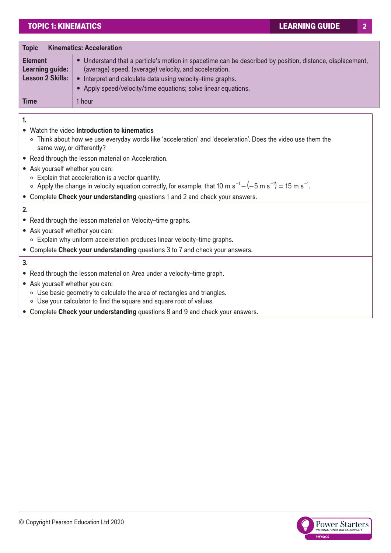| <b>Kinematics: Acceleration</b><br><b>Topic</b>              |                                                                                                                                                                                                                                                                                                  |  |
|--------------------------------------------------------------|--------------------------------------------------------------------------------------------------------------------------------------------------------------------------------------------------------------------------------------------------------------------------------------------------|--|
| <b>Element</b><br>Learning guide:<br><b>Lesson 2 Skills:</b> | • Understand that a particle's motion in spacetime can be described by position, distance, displacement,<br>(average) speed, (average) velocity, and acceleration.<br>Interpret and calculate data using velocity-time graphs.<br>• Apply speed/velocity/time equations; solve linear equations. |  |
| <b>Time</b>                                                  | 1 hour                                                                                                                                                                                                                                                                                           |  |

**1.**

## • Watch the video **Introduction to kinematics**

- ° Think about how we use everyday words like 'acceleration' and 'deceleration'. Does the video use them the same way, or differently?
- Read through the lesson material on Acceleration.
- Ask yourself whether you can:
	- ° Explain that acceleration is a vector quantity.
	- $\circ$  Apply the change in velocity equation correctly, for example, that 10 m s<sup>-1</sup> (−5 m s<sup>-1</sup>) = 15 m s<sup>-1</sup>.
- Complete **Check your understanding** questions 1 and 2 and check your answers.

### **2.**

- Read through the lesson material on Velocity–time graphs.
- Ask yourself whether you can: ° Explain why uniform acceleration produces linear velocity–time graphs.
- Complete **Check your understanding** questions 3 to 7 and check your answers.

## **3.**

- Read through the lesson material on Area under a velocity–time graph.
- Ask yourself whether you can:
	- ° Use basic geometry to calculate the area of rectangles and triangles.
	- ° Use your calculator to find the square and square root of values.
- Complete **Check your understanding** questions 8 and 9 and check your answers.